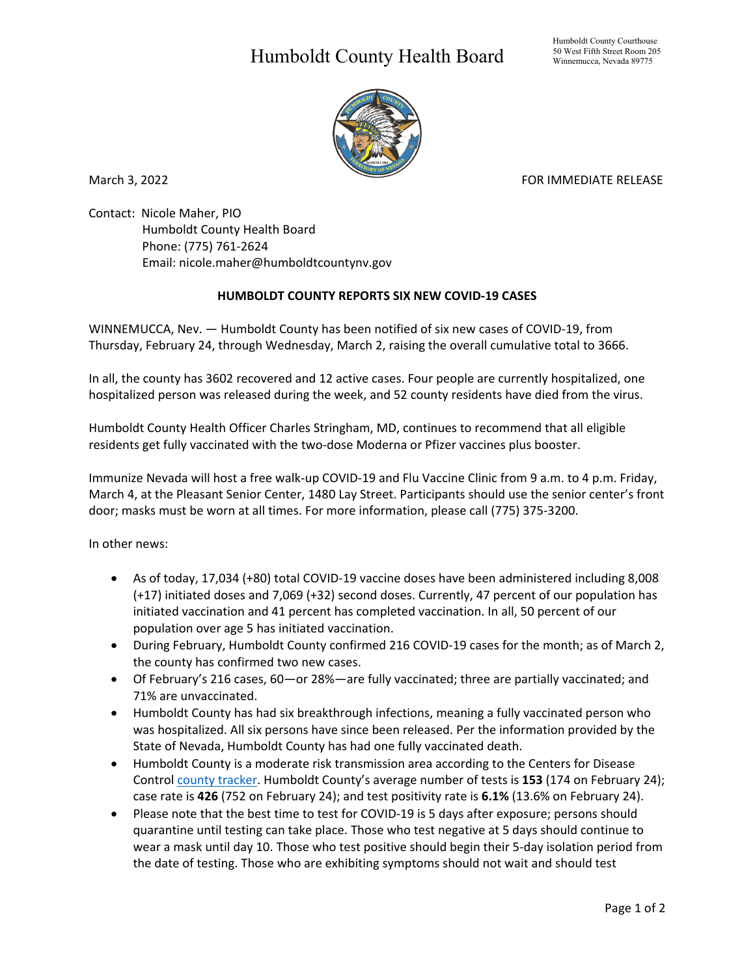## Humboldt County Health Board



March 3, 2022 **FOR IMMEDIATE RELEASE** 

Contact: Nicole Maher, PIO Humboldt County Health Board Phone: (775) 761-2624 Email: nicole.maher@humboldtcountynv.gov

## **HUMBOLDT COUNTY REPORTS SIX NEW COVID-19 CASES**

WINNEMUCCA, Nev. — Humboldt County has been notified of six new cases of COVID-19, from Thursday, February 24, through Wednesday, March 2, raising the overall cumulative total to 3666.

In all, the county has 3602 recovered and 12 active cases. Four people are currently hospitalized, one hospitalized person was released during the week, and 52 county residents have died from the virus.

Humboldt County Health Officer Charles Stringham, MD, continues to recommend that all eligible residents get fully vaccinated with the two-dose Moderna or Pfizer vaccines plus booster.

Immunize Nevada will host a free walk-up COVID-19 and Flu Vaccine Clinic from 9 a.m. to 4 p.m. Friday, March 4, at the Pleasant Senior Center, 1480 Lay Street. Participants should use the senior center's front door; masks must be worn at all times. For more information, please call (775) 375-3200.

In other news:

- As of today, 17,034 (+80) total COVID-19 vaccine doses have been administered including 8,008 (+17) initiated doses and 7,069 (+32) second doses. Currently, 47 percent of our population has initiated vaccination and 41 percent has completed vaccination. In all, 50 percent of our population over age 5 has initiated vaccination.
- During February, Humboldt County confirmed 216 COVID-19 cases for the month; as of March 2, the county has confirmed two new cases.
- Of February's 216 cases, 60—or 28%—are fully vaccinated; three are partially vaccinated; and 71% are unvaccinated.
- Humboldt County has had six breakthrough infections, meaning a fully vaccinated person who was hospitalized. All six persons have since been released. Per the information provided by the State of Nevada, Humboldt County has had one fully vaccinated death.
- Humboldt County is a moderate risk transmission area according to the Centers for Disease Control [county tracker.](https://covid.cdc.gov/covid-data-tracker/#county-view?list_select_state=all_states&list_select_county=32013&data-type=Risk) Humboldt County's average number of tests is **153** (174 on February 24); case rate is **426** (752 on February 24); and test positivity rate is **6.1%** (13.6% on February 24).
- Please note that the best time to test for COVID-19 is 5 days after exposure; persons should quarantine until testing can take place. Those who test negative at 5 days should continue to wear a mask until day 10. Those who test positive should begin their 5-day isolation period from the date of testing. Those who are exhibiting symptoms should not wait and should test